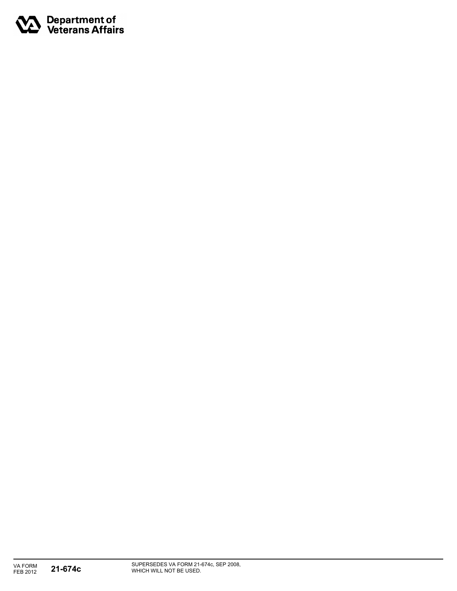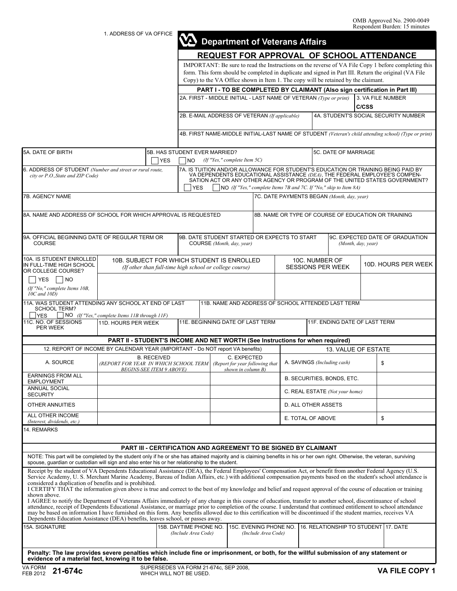1. ADDRESS OF VA OFFICE

|                                                                                                                                                                                                                                                                                                                                                                                                                                                                                                                                                                                                                                                                                                                                                                                                                                                                                                                                                                                                                                                                                                    | 1. ADDRESS OF VA OFFICE                                                                                                                                                                                                                                                                            |            | $\boldsymbol{\omega}$                                                                                                                                                                                                                                                                                                            |  |                                          |                                               |                                                     | <b>Department of Veterans Affairs</b> |                                                    |                     |                                      |
|----------------------------------------------------------------------------------------------------------------------------------------------------------------------------------------------------------------------------------------------------------------------------------------------------------------------------------------------------------------------------------------------------------------------------------------------------------------------------------------------------------------------------------------------------------------------------------------------------------------------------------------------------------------------------------------------------------------------------------------------------------------------------------------------------------------------------------------------------------------------------------------------------------------------------------------------------------------------------------------------------------------------------------------------------------------------------------------------------|----------------------------------------------------------------------------------------------------------------------------------------------------------------------------------------------------------------------------------------------------------------------------------------------------|------------|----------------------------------------------------------------------------------------------------------------------------------------------------------------------------------------------------------------------------------------------------------------------------------------------------------------------------------|--|------------------------------------------|-----------------------------------------------|-----------------------------------------------------|---------------------------------------|----------------------------------------------------|---------------------|--------------------------------------|
|                                                                                                                                                                                                                                                                                                                                                                                                                                                                                                                                                                                                                                                                                                                                                                                                                                                                                                                                                                                                                                                                                                    | <b>REQUEST FOR APPROVAL OF SCHOOL ATTENDANCE</b>                                                                                                                                                                                                                                                   |            |                                                                                                                                                                                                                                                                                                                                  |  |                                          |                                               |                                                     |                                       |                                                    |                     |                                      |
|                                                                                                                                                                                                                                                                                                                                                                                                                                                                                                                                                                                                                                                                                                                                                                                                                                                                                                                                                                                                                                                                                                    | IMPORTANT: Be sure to read the Instructions on the reverse of VA File Copy 1 before completing this<br>form. This form should be completed in duplicate and signed in Part III. Return the original (VA File<br>Copy) to the VA Office shown in Item 1. The copy will be retained by the claimant. |            |                                                                                                                                                                                                                                                                                                                                  |  |                                          |                                               |                                                     |                                       |                                                    |                     |                                      |
|                                                                                                                                                                                                                                                                                                                                                                                                                                                                                                                                                                                                                                                                                                                                                                                                                                                                                                                                                                                                                                                                                                    | PART I - TO BE COMPLETED BY CLAIMANT (Also sign certification in Part III)                                                                                                                                                                                                                         |            |                                                                                                                                                                                                                                                                                                                                  |  |                                          |                                               |                                                     |                                       |                                                    |                     |                                      |
|                                                                                                                                                                                                                                                                                                                                                                                                                                                                                                                                                                                                                                                                                                                                                                                                                                                                                                                                                                                                                                                                                                    |                                                                                                                                                                                                                                                                                                    |            | 2A. FIRST - MIDDLE INITIAL - LAST NAME OF VETERAN (Type or print)<br>3. VA FILE NUMBER<br>C/CSS                                                                                                                                                                                                                                  |  |                                          |                                               |                                                     |                                       |                                                    |                     |                                      |
|                                                                                                                                                                                                                                                                                                                                                                                                                                                                                                                                                                                                                                                                                                                                                                                                                                                                                                                                                                                                                                                                                                    |                                                                                                                                                                                                                                                                                                    |            | 2B. E-MAIL ADDRESS OF VETERAN (If applicable)                                                                                                                                                                                                                                                                                    |  |                                          |                                               |                                                     |                                       |                                                    |                     | 4A. STUDENT'S SOCIAL SECURITY NUMBER |
|                                                                                                                                                                                                                                                                                                                                                                                                                                                                                                                                                                                                                                                                                                                                                                                                                                                                                                                                                                                                                                                                                                    |                                                                                                                                                                                                                                                                                                    |            | 4B. FIRST NAME-MIDDLE INITIAL-LAST NAME OF STUDENT (Veteran's child attending school) (Type or print)                                                                                                                                                                                                                            |  |                                          |                                               |                                                     |                                       |                                                    |                     |                                      |
|                                                                                                                                                                                                                                                                                                                                                                                                                                                                                                                                                                                                                                                                                                                                                                                                                                                                                                                                                                                                                                                                                                    |                                                                                                                                                                                                                                                                                                    |            |                                                                                                                                                                                                                                                                                                                                  |  |                                          |                                               |                                                     |                                       |                                                    |                     |                                      |
| 5A. DATE OF BIRTH                                                                                                                                                                                                                                                                                                                                                                                                                                                                                                                                                                                                                                                                                                                                                                                                                                                                                                                                                                                                                                                                                  |                                                                                                                                                                                                                                                                                                    | <b>YES</b> | 5B. HAS STUDENT EVER MARRIED?<br>NO                                                                                                                                                                                                                                                                                              |  | (If "Yes," complete Item $5C$ )          |                                               |                                                     |                                       | 5C. DATE OF MARRIAGE                               |                     |                                      |
| 6. ADDRESS OF STUDENT (Number and street or rural route,<br>city or P.O., State and ZIP Code)                                                                                                                                                                                                                                                                                                                                                                                                                                                                                                                                                                                                                                                                                                                                                                                                                                                                                                                                                                                                      |                                                                                                                                                                                                                                                                                                    |            | 7A. IS TUITION AND/OR ALLOWANCE FOR STUDENT'S EDUCATION OR TRAINING BEING PAID BY<br>VA DEPENDENTS EDUCATIONAL ASSISTANCE (DEA), THE FEDERAL EMPLOYEE'S COMPEN-<br>SATION ACT OR ANY OTHER AGENCY OR PROGRAM OF THE UNITED STATES GOVERNMENT?<br><b>YES</b><br>NO (If "Yes," complete Items 7B and 7C. If "No," skip to Item 8A) |  |                                          |                                               |                                                     |                                       |                                                    |                     |                                      |
| 7B. AGENCY NAME                                                                                                                                                                                                                                                                                                                                                                                                                                                                                                                                                                                                                                                                                                                                                                                                                                                                                                                                                                                                                                                                                    |                                                                                                                                                                                                                                                                                                    |            | 7C. DATE PAYMENTS BEGAN (Month, day, year)                                                                                                                                                                                                                                                                                       |  |                                          |                                               |                                                     |                                       |                                                    |                     |                                      |
|                                                                                                                                                                                                                                                                                                                                                                                                                                                                                                                                                                                                                                                                                                                                                                                                                                                                                                                                                                                                                                                                                                    |                                                                                                                                                                                                                                                                                                    |            |                                                                                                                                                                                                                                                                                                                                  |  |                                          |                                               |                                                     |                                       |                                                    |                     |                                      |
| 8A. NAME AND ADDRESS OF SCHOOL FOR WHICH APPROVAL IS REQUESTED                                                                                                                                                                                                                                                                                                                                                                                                                                                                                                                                                                                                                                                                                                                                                                                                                                                                                                                                                                                                                                     |                                                                                                                                                                                                                                                                                                    |            |                                                                                                                                                                                                                                                                                                                                  |  |                                          |                                               | 8B. NAME OR TYPE OF COURSE OF EDUCATION OR TRAINING |                                       |                                                    |                     |                                      |
| 9A. OFFICIAL BEGINNING DATE OF REGULAR TERM OR<br><b>COURSE</b>                                                                                                                                                                                                                                                                                                                                                                                                                                                                                                                                                                                                                                                                                                                                                                                                                                                                                                                                                                                                                                    |                                                                                                                                                                                                                                                                                                    |            | 9B. DATE STUDENT STARTED OR EXPECTS TO START                                                                                                                                                                                                                                                                                     |  | COURSE (Month, day, year)                |                                               |                                                     |                                       | (Month, day, year)                                 |                     | 9C. EXPECTED DATE OF GRADUATION      |
| 10A. IS STUDENT ENROLLED<br>IN FULL-TIME HIGH SCHOOL<br>OR COLLEGE COURSE?                                                                                                                                                                                                                                                                                                                                                                                                                                                                                                                                                                                                                                                                                                                                                                                                                                                                                                                                                                                                                         | 10B. SUBJECT FOR WHICH STUDENT IS ENROLLED<br>(If other than full-time high school or college course)                                                                                                                                                                                              |            |                                                                                                                                                                                                                                                                                                                                  |  |                                          |                                               | 10C. NUMBER OF<br><b>SESSIONS PER WEEK</b>          |                                       |                                                    | 10D. HOURS PER WEEK |                                      |
| YES<br> NO<br>(If "No," complete Items 10B,                                                                                                                                                                                                                                                                                                                                                                                                                                                                                                                                                                                                                                                                                                                                                                                                                                                                                                                                                                                                                                                        |                                                                                                                                                                                                                                                                                                    |            |                                                                                                                                                                                                                                                                                                                                  |  |                                          |                                               |                                                     |                                       |                                                    |                     |                                      |
| $10C$ and $10D$ )<br>11A. WAS STUDENT ATTENDING ANY SCHOOL AT END OF LAST                                                                                                                                                                                                                                                                                                                                                                                                                                                                                                                                                                                                                                                                                                                                                                                                                                                                                                                                                                                                                          |                                                                                                                                                                                                                                                                                                    |            |                                                                                                                                                                                                                                                                                                                                  |  |                                          |                                               |                                                     |                                       | 11B. NAME AND ADDRESS OF SCHOOL ATTENDED LAST TERM |                     |                                      |
| <b>SCHOOL TERM?</b><br><b>YES</b>                                                                                                                                                                                                                                                                                                                                                                                                                                                                                                                                                                                                                                                                                                                                                                                                                                                                                                                                                                                                                                                                  |                                                                                                                                                                                                                                                                                                    |            |                                                                                                                                                                                                                                                                                                                                  |  |                                          |                                               |                                                     |                                       |                                                    |                     |                                      |
| NO (If "Yes," complete Items 11B through 11F)<br>11C. NO. OF SESSIONS<br>11E. BEGINNING DATE OF LAST TERM<br>111F. ENDING DATE OF LAST TERM<br>11D. HOURS PER WEEK<br>PER WEEK                                                                                                                                                                                                                                                                                                                                                                                                                                                                                                                                                                                                                                                                                                                                                                                                                                                                                                                     |                                                                                                                                                                                                                                                                                                    |            |                                                                                                                                                                                                                                                                                                                                  |  |                                          |                                               |                                                     |                                       |                                                    |                     |                                      |
|                                                                                                                                                                                                                                                                                                                                                                                                                                                                                                                                                                                                                                                                                                                                                                                                                                                                                                                                                                                                                                                                                                    | PART II - STUDENT'S INCOME AND NET WORTH (See Instructions for when required)                                                                                                                                                                                                                      |            |                                                                                                                                                                                                                                                                                                                                  |  |                                          |                                               |                                                     |                                       |                                                    |                     |                                      |
| 12. REPORT OF INCOME BY CALENDAR YEAR (IMPORTANT - Do NOT report VA benefits)                                                                                                                                                                                                                                                                                                                                                                                                                                                                                                                                                                                                                                                                                                                                                                                                                                                                                                                                                                                                                      |                                                                                                                                                                                                                                                                                                    |            |                                                                                                                                                                                                                                                                                                                                  |  |                                          |                                               | 13. VALUE OF ESTATE                                 |                                       |                                                    |                     |                                      |
| A. SOURCE                                                                                                                                                                                                                                                                                                                                                                                                                                                                                                                                                                                                                                                                                                                                                                                                                                                                                                                                                                                                                                                                                          | <b>B. RECEIVED</b><br>(REPORT FOR YEAR IN WHICH SCHOOL TERM (Report for year following that<br><i>BEGINS-SEE ITEM 9 ABOVE</i>                                                                                                                                                                      |            |                                                                                                                                                                                                                                                                                                                                  |  | C. EXPECTED<br><u>shown in column B)</u> |                                               | A. SAVINGS (Including cash)<br>\$                   |                                       |                                                    |                     |                                      |
| <b>EARNINGS FROM ALL</b><br><b>EMPLOYMENT</b>                                                                                                                                                                                                                                                                                                                                                                                                                                                                                                                                                                                                                                                                                                                                                                                                                                                                                                                                                                                                                                                      |                                                                                                                                                                                                                                                                                                    |            |                                                                                                                                                                                                                                                                                                                                  |  |                                          |                                               |                                                     |                                       | B. SECURITIES, BONDS, ETC.                         |                     |                                      |
| ANNUAL SOCIAL<br><b>SECURITY</b>                                                                                                                                                                                                                                                                                                                                                                                                                                                                                                                                                                                                                                                                                                                                                                                                                                                                                                                                                                                                                                                                   |                                                                                                                                                                                                                                                                                                    |            |                                                                                                                                                                                                                                                                                                                                  |  |                                          |                                               |                                                     |                                       | C. REAL ESTATE (Not your home)                     |                     |                                      |
| <b>OTHER ANNUITIES</b>                                                                                                                                                                                                                                                                                                                                                                                                                                                                                                                                                                                                                                                                                                                                                                                                                                                                                                                                                                                                                                                                             |                                                                                                                                                                                                                                                                                                    |            |                                                                                                                                                                                                                                                                                                                                  |  |                                          |                                               |                                                     | D. ALL OTHER ASSETS                   |                                                    |                     |                                      |
| ALL OTHER INCOME<br>(Interest, dividends, etc.)                                                                                                                                                                                                                                                                                                                                                                                                                                                                                                                                                                                                                                                                                                                                                                                                                                                                                                                                                                                                                                                    |                                                                                                                                                                                                                                                                                                    |            |                                                                                                                                                                                                                                                                                                                                  |  |                                          |                                               |                                                     | E. TOTAL OF ABOVE                     |                                                    | \$                  |                                      |
| 14. REMARKS                                                                                                                                                                                                                                                                                                                                                                                                                                                                                                                                                                                                                                                                                                                                                                                                                                                                                                                                                                                                                                                                                        |                                                                                                                                                                                                                                                                                                    |            |                                                                                                                                                                                                                                                                                                                                  |  |                                          |                                               |                                                     |                                       |                                                    |                     |                                      |
|                                                                                                                                                                                                                                                                                                                                                                                                                                                                                                                                                                                                                                                                                                                                                                                                                                                                                                                                                                                                                                                                                                    | <b>PART III - CERTIFICATION AND AGREEMENT TO BE SIGNED BY CLAIMANT</b>                                                                                                                                                                                                                             |            |                                                                                                                                                                                                                                                                                                                                  |  |                                          |                                               |                                                     |                                       |                                                    |                     |                                      |
| NOTE: This part will be completed by the student only if he or she has attained majority and is claiming benefits in his or her own right. Otherwise, the veteran, surviving<br>spouse, guardian or custodian will sign and also enter his or her relationship to the student.                                                                                                                                                                                                                                                                                                                                                                                                                                                                                                                                                                                                                                                                                                                                                                                                                     |                                                                                                                                                                                                                                                                                                    |            |                                                                                                                                                                                                                                                                                                                                  |  |                                          |                                               |                                                     |                                       |                                                    |                     |                                      |
| Receipt by the student of VA Dependents Educational Assistance (DEA), the Federal Employees' Compensation Act, or benefit from another Federal Agency (U.S.<br>Service Academy, U.S. Merchant Marine Academy, Bureau of Indian Affairs, etc.) with additional compensation payments based on the student's school attendance is<br>considered a duplication of benefits and is prohibited.<br>I CERTIFY THAT the information given above is true and correct to the best of my knowledge and belief and request approval of the course of education or training<br>shown above.<br>I AGREE to notify the Department of Veterans Affairs immediately of any change in this course of education, transfer to another school, discontinuance of school<br>attendance, receipt of Dependents Educational Assistance, or marriage prior to completion of the course. I understand that continued entitlement to school attendance<br>may be based on information I have furnished on this form. Any benefits allowed due to this certification will be discontinued if the student marries, receives VA |                                                                                                                                                                                                                                                                                                    |            |                                                                                                                                                                                                                                                                                                                                  |  |                                          |                                               |                                                     |                                       |                                                    |                     |                                      |
| Dependents Education Assistance (DEA) benefits, leaves school, or passes away.                                                                                                                                                                                                                                                                                                                                                                                                                                                                                                                                                                                                                                                                                                                                                                                                                                                                                                                                                                                                                     |                                                                                                                                                                                                                                                                                                    |            |                                                                                                                                                                                                                                                                                                                                  |  |                                          |                                               |                                                     |                                       |                                                    |                     |                                      |
| 15A. SIGNATURE                                                                                                                                                                                                                                                                                                                                                                                                                                                                                                                                                                                                                                                                                                                                                                                                                                                                                                                                                                                                                                                                                     |                                                                                                                                                                                                                                                                                                    |            | 15B. DAYTIME PHONE NO.<br>(Include Area Code)                                                                                                                                                                                                                                                                                    |  |                                          | 15C. EVENING PHONE NO.<br>(Include Area Code) |                                                     |                                       | 16. RELATIONSHIP TO STUDENT 17. DATE               |                     |                                      |
| Penalty: The law provides severe penalties which include fine or imprisonment, or both, for the willful submission of any statement or<br>evidence of a material fact, knowing it to be false.                                                                                                                                                                                                                                                                                                                                                                                                                                                                                                                                                                                                                                                                                                                                                                                                                                                                                                     |                                                                                                                                                                                                                                                                                                    |            |                                                                                                                                                                                                                                                                                                                                  |  |                                          |                                               |                                                     |                                       |                                                    |                     |                                      |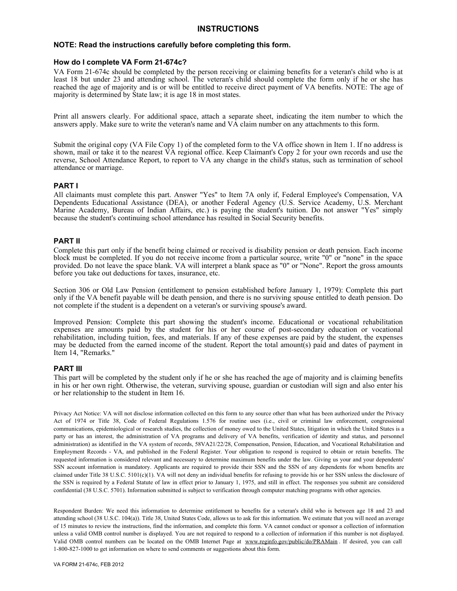# **INSTRUCTIONS**

#### **NOTE: Read the instructions carefully before completing this form.**

## **How do I complete VA Form 21-674c?**

VA Form 21-674c should be completed by the person receiving or claiming benefits for a veteran's child who is at least 18 but under 23 and attending school. The veteran's child should complete the form only if he or she has reached the age of majority and is or will be entitled to receive direct payment of VA benefits. NOTE: The age of majority is determined by State law; it is age 18 in most states.

Print all answers clearly. For additional space, attach a separate sheet, indicating the item number to which the answers apply. Make sure to write the veteran's name and VA claim number on any attachments to this form.

Submit the original copy (VA File Copy 1) of the completed form to the VA office shown in Item 1. If no address is shown, mail or take it to the nearest VA regional office. Keep Claimant's Copy 2 for your own records and use the reverse, School Attendance Report, to report to VA any change in the child's status, such as termination of school attendance or marriage.

## **PART I**

All claimants must complete this part. Answer "Yes" to Item 7A only if, Federal Employee's Compensation, VA Dependents Educational Assistance (DEA), or another Federal Agency (U.S. Service Academy, U.S. Merchant Marine Academy, Bureau of Indian Affairs, etc.) is paying the student's tuition. Do not answer "Yes" simply because the student's continuing school attendance has resulted in Social Security benefits.

## **PART II**

Complete this part only if the benefit being claimed or received is disability pension or death pension. Each income block must be completed. If you do not receive income from a particular source, write "0" or "none" in the space provided. Do not leave the space blank. VA will interpret a blank space as "0" or "None". Report the gross amounts before you take out deductions for taxes, insurance, etc.

Section 306 or Old Law Pension (entitlement to pension established before January 1, 1979): Complete this part only if the VA benefit payable will be death pension, and there is no surviving spouse entitled to death pension. Do not complete if the student is a dependent on a veteran's or surviving spouse's award.

Improved Pension: Complete this part showing the student's income. Educational or vocational rehabilitation expenses are amounts paid by the student for his or her course of post-secondary education or vocational rehabilitation, including tuition, fees, and materials. If any of these expenses are paid by the student, the expenses may be deducted from the earned income of the student. Report the total amount(s) paid and dates of payment in Item 14, "Remarks."

#### **PART III**

This part will be completed by the student only if he or she has reached the age of majority and is claiming benefits in his or her own right. Otherwise, the veteran, surviving spouse, guardian or custodian will sign and also enter his or her relationship to the student in Item 16.

Privacy Act Notice: VA will not disclose information collected on this form to any source other than what has been authorized under the Privacy Act of 1974 or Title 38, Code of Federal Regulations 1.576 for routine uses (i.e., civil or criminal law enforcement, congressional communications, epidemiological or research studies, the collection of money owed to the United States, litigation in which the United States is a party or has an interest, the administration of VA programs and delivery of VA benefits, verification of identity and status, and personnel administration) as identified in the VA system of records, 58VA21/22/28, Compensation, Pension, Education, and Vocational Rehabilitation and Employment Records - VA, and published in the Federal Register. Your obligation to respond is required to obtain or retain benefits. The requested information is considered relevant and necessary to determine maximum benefits under the law. Giving us your and your dependents' SSN account information is mandatory. Applicants are required to provide their SSN and the SSN of any dependents for whom benefits are claimed under Title 38 U.S.C.  $5101(c)(1)$ . VA will not deny an individual benefits for refusing to provide his or her SSN unless the disclosure of the SSN is required by a Federal Statute of law in effect prior to January 1, 1975, and still in effect. The responses you submit are considered confidential (38 U.S.C. 5701). Information submitted is subject to verification through computer matching programs with other agencies.

Respondent Burden: We need this information to determine entitlement to benefits for a veteran's child who is between age 18 and 23 and attending school (38 U.S.C. 104(a)). Title 38, United States Code, allows us to ask for this information. We estimate that you will need an average of 15 minutes to review the instructions, find the information, and complete this form. VA cannot conduct or sponsor a collection of information unless a valid OMB control number is displayed. You are not required to respond to a collection of information if this number is not displayed. Valid OMB control numbers can be located on the OMB Internet Page at www.reginfo.gov/public/do/PRAMain . If desired, you can call 1-800-827-1000 to get information on where to send comments or suggestions about this form.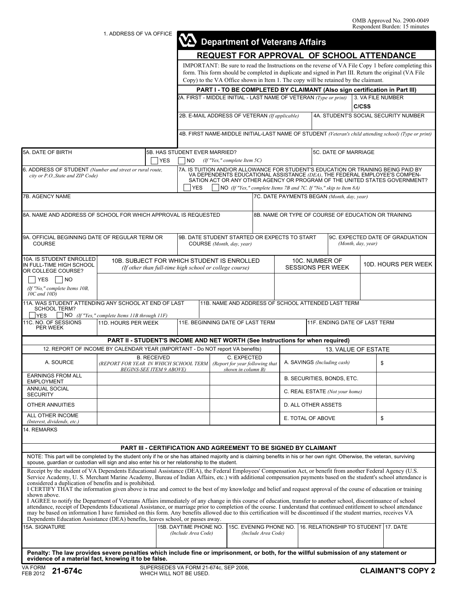1. ADDRESS OF VA OFFICE

|                                                                                                                                                                                                                                                                                                                                                                                                                                                                                                                                                                                                                                                                                                                                                     |                                                                                                            |                    |                                                                                                                                                                                                                                                                                                                                  |                                            |                                                     |                                               |                                                       | <b>Department of Veterans Affairs</b> |                                                                                    |  |                                                                                                                                                                                                              |  |
|-----------------------------------------------------------------------------------------------------------------------------------------------------------------------------------------------------------------------------------------------------------------------------------------------------------------------------------------------------------------------------------------------------------------------------------------------------------------------------------------------------------------------------------------------------------------------------------------------------------------------------------------------------------------------------------------------------------------------------------------------------|------------------------------------------------------------------------------------------------------------|--------------------|----------------------------------------------------------------------------------------------------------------------------------------------------------------------------------------------------------------------------------------------------------------------------------------------------------------------------------|--------------------------------------------|-----------------------------------------------------|-----------------------------------------------|-------------------------------------------------------|---------------------------------------|------------------------------------------------------------------------------------|--|--------------------------------------------------------------------------------------------------------------------------------------------------------------------------------------------------------------|--|
|                                                                                                                                                                                                                                                                                                                                                                                                                                                                                                                                                                                                                                                                                                                                                     | REQUEST FOR APPROVAL OF SCHOOL ATTENDANCE                                                                  |                    |                                                                                                                                                                                                                                                                                                                                  |                                            |                                                     |                                               |                                                       |                                       |                                                                                    |  |                                                                                                                                                                                                              |  |
|                                                                                                                                                                                                                                                                                                                                                                                                                                                                                                                                                                                                                                                                                                                                                     |                                                                                                            |                    |                                                                                                                                                                                                                                                                                                                                  |                                            |                                                     |                                               |                                                       |                                       | Copy) to the VA Office shown in Item 1. The copy will be retained by the claimant. |  | IMPORTANT: Be sure to read the Instructions on the reverse of VA File Copy 1 before completing this<br>form. This form should be completed in duplicate and signed in Part III. Return the original (VA File |  |
|                                                                                                                                                                                                                                                                                                                                                                                                                                                                                                                                                                                                                                                                                                                                                     |                                                                                                            |                    | PART I - TO BE COMPLETED BY CLAIMANT (Also sign certification in Part III)                                                                                                                                                                                                                                                       |                                            |                                                     |                                               |                                                       |                                       |                                                                                    |  |                                                                                                                                                                                                              |  |
|                                                                                                                                                                                                                                                                                                                                                                                                                                                                                                                                                                                                                                                                                                                                                     |                                                                                                            |                    | 2A. FIRST - MIDDLE INITIAL - LAST NAME OF VETERAN (Type or print)                                                                                                                                                                                                                                                                |                                            |                                                     |                                               |                                                       |                                       | 3. VA FILE NUMBER<br>C/CSS                                                         |  |                                                                                                                                                                                                              |  |
|                                                                                                                                                                                                                                                                                                                                                                                                                                                                                                                                                                                                                                                                                                                                                     |                                                                                                            |                    | 2B. E-MAIL ADDRESS OF VETERAN (If applicable)                                                                                                                                                                                                                                                                                    |                                            |                                                     |                                               |                                                       |                                       |                                                                                    |  | 4A. STUDENT'S SOCIAL SECURITY NUMBER                                                                                                                                                                         |  |
|                                                                                                                                                                                                                                                                                                                                                                                                                                                                                                                                                                                                                                                                                                                                                     |                                                                                                            |                    |                                                                                                                                                                                                                                                                                                                                  |                                            |                                                     |                                               |                                                       |                                       |                                                                                    |  | 4B. FIRST NAME-MIDDLE INITIAL-LAST NAME OF STUDENT (Veteran's child attending school) (Type or print)                                                                                                        |  |
| 5A. DATE OF BIRTH<br><b>YES</b>                                                                                                                                                                                                                                                                                                                                                                                                                                                                                                                                                                                                                                                                                                                     |                                                                                                            |                    | 5B. HAS STUDENT EVER MARRIED?<br>(If "Yes," complete Item $5C$ )<br><b>NO</b>                                                                                                                                                                                                                                                    |                                            |                                                     |                                               | 5C. DATE OF MARRIAGE                                  |                                       |                                                                                    |  |                                                                                                                                                                                                              |  |
| 6. ADDRESS OF STUDENT (Number and street or rural route,<br>city or P.O., State and ZIP Code)                                                                                                                                                                                                                                                                                                                                                                                                                                                                                                                                                                                                                                                       |                                                                                                            |                    | 7A. IS TUITION AND/OR ALLOWANCE FOR STUDENT'S EDUCATION OR TRAINING BEING PAID BY<br>VA DEPENDENTS EDUCATIONAL ASSISTANCE (DEA), THE FEDERAL EMPLOYEE'S COMPEN-<br>SATION ACT OR ANY OTHER AGENCY OR PROGRAM OF THE UNITED STATES GOVERNMENT?<br><b>YES</b><br>NO (If "Yes," complete Items 7B and 7C. If "No," skip to Item 8A) |                                            |                                                     |                                               |                                                       |                                       |                                                                                    |  |                                                                                                                                                                                                              |  |
| 7B. AGENCY NAME                                                                                                                                                                                                                                                                                                                                                                                                                                                                                                                                                                                                                                                                                                                                     |                                                                                                            |                    |                                                                                                                                                                                                                                                                                                                                  | 7C. DATE PAYMENTS BEGAN (Month, day, year) |                                                     |                                               |                                                       |                                       |                                                                                    |  |                                                                                                                                                                                                              |  |
| 8A. NAME AND ADDRESS OF SCHOOL FOR WHICH APPROVAL IS REQUESTED                                                                                                                                                                                                                                                                                                                                                                                                                                                                                                                                                                                                                                                                                      |                                                                                                            |                    |                                                                                                                                                                                                                                                                                                                                  |                                            | 8B. NAME OR TYPE OF COURSE OF EDUCATION OR TRAINING |                                               |                                                       |                                       |                                                                                    |  |                                                                                                                                                                                                              |  |
| 9A. OFFICIAL BEGINNING DATE OF REGULAR TERM OR<br><b>COURSE</b>                                                                                                                                                                                                                                                                                                                                                                                                                                                                                                                                                                                                                                                                                     |                                                                                                            |                    | 9B. DATE STUDENT STARTED OR EXPECTS TO START<br>COURSE (Month, day, year)                                                                                                                                                                                                                                                        |                                            |                                                     |                                               | 9C. EXPECTED DATE OF GRADUATION<br>(Month, day, year) |                                       |                                                                                    |  |                                                                                                                                                                                                              |  |
| 10A. IS STUDENT ENROLLED<br>IN FULL-TIME HIGH SCHOOL<br>OR COLLEGE COURSE?                                                                                                                                                                                                                                                                                                                                                                                                                                                                                                                                                                                                                                                                          | 10B. SUBJECT FOR WHICH STUDENT IS ENROLLED<br>(If other than full-time high school or college course)      |                    |                                                                                                                                                                                                                                                                                                                                  |                                            |                                                     | 10C. NUMBER OF<br><b>SESSIONS PER WEEK</b>    |                                                       |                                       | 10D. HOURS PER WEEK                                                                |  |                                                                                                                                                                                                              |  |
| YES<br>$\overline{\phantom{1}}$ NO<br>(If "No," complete Items 10B,<br>10C and 10D)                                                                                                                                                                                                                                                                                                                                                                                                                                                                                                                                                                                                                                                                 |                                                                                                            |                    |                                                                                                                                                                                                                                                                                                                                  |                                            |                                                     |                                               |                                                       |                                       |                                                                                    |  |                                                                                                                                                                                                              |  |
| 11A. WAS STUDENT ATTENDING ANY SCHOOL AT END OF LAST<br><b>SCHOOL TERM?</b>                                                                                                                                                                                                                                                                                                                                                                                                                                                                                                                                                                                                                                                                         |                                                                                                            |                    |                                                                                                                                                                                                                                                                                                                                  |                                            |                                                     |                                               |                                                       |                                       | 11B. NAME AND ADDRESS OF SCHOOL ATTENDED LAST TERM                                 |  |                                                                                                                                                                                                              |  |
| $\Box$ NO (If "Yes," complete Items 11B through 11F)<br><b>YES</b><br>11C. NO. OF SESSIONS<br>11E. BEGINNING DATE OF LAST TERM<br>11D. HOURS PER WEEK<br>11F. ENDING DATE OF LAST TERM<br>PER WEEK                                                                                                                                                                                                                                                                                                                                                                                                                                                                                                                                                  |                                                                                                            |                    |                                                                                                                                                                                                                                                                                                                                  |                                            |                                                     |                                               |                                                       |                                       |                                                                                    |  |                                                                                                                                                                                                              |  |
|                                                                                                                                                                                                                                                                                                                                                                                                                                                                                                                                                                                                                                                                                                                                                     | PART II - STUDENT'S INCOME AND NET WORTH (See Instructions for when required)                              |                    |                                                                                                                                                                                                                                                                                                                                  |                                            |                                                     |                                               |                                                       |                                       |                                                                                    |  |                                                                                                                                                                                                              |  |
| 12. REPORT OF INCOME BY CALENDAR YEAR (IMPORTANT - Do NOT report VA benefits)                                                                                                                                                                                                                                                                                                                                                                                                                                                                                                                                                                                                                                                                       |                                                                                                            |                    |                                                                                                                                                                                                                                                                                                                                  |                                            |                                                     |                                               |                                                       |                                       | 13. VALUE OF ESTATE                                                                |  |                                                                                                                                                                                                              |  |
| A. SOURCE                                                                                                                                                                                                                                                                                                                                                                                                                                                                                                                                                                                                                                                                                                                                           | (REPORT FOR YEAR IN WHICH SCHOOL TERM   (Report for year following that<br><b>REGINS-SEE ITEM 9 AROVE)</b> | <b>B. RECEIVED</b> |                                                                                                                                                                                                                                                                                                                                  | shown in column $R$ )                      | C. EXPECTED                                         |                                               | A. SAVINGS (Including cash)<br>\$                     |                                       |                                                                                    |  |                                                                                                                                                                                                              |  |
| <b>EARNINGS FROM ALL</b><br><b>EMPLOYMENT</b>                                                                                                                                                                                                                                                                                                                                                                                                                                                                                                                                                                                                                                                                                                       |                                                                                                            |                    |                                                                                                                                                                                                                                                                                                                                  |                                            |                                                     |                                               | B. SECURITIES, BONDS, ETC.                            |                                       |                                                                                    |  |                                                                                                                                                                                                              |  |
| ANNUAL SOCIAL<br><b>SECURITY</b>                                                                                                                                                                                                                                                                                                                                                                                                                                                                                                                                                                                                                                                                                                                    |                                                                                                            |                    |                                                                                                                                                                                                                                                                                                                                  |                                            |                                                     |                                               | C. REAL ESTATE (Not your home)                        |                                       |                                                                                    |  |                                                                                                                                                                                                              |  |
| OTHER ANNUITIES                                                                                                                                                                                                                                                                                                                                                                                                                                                                                                                                                                                                                                                                                                                                     |                                                                                                            |                    |                                                                                                                                                                                                                                                                                                                                  |                                            |                                                     |                                               | D. ALL OTHER ASSETS                                   |                                       |                                                                                    |  |                                                                                                                                                                                                              |  |
| ALL OTHER INCOME<br>(Interest, dividends, etc.)                                                                                                                                                                                                                                                                                                                                                                                                                                                                                                                                                                                                                                                                                                     |                                                                                                            |                    |                                                                                                                                                                                                                                                                                                                                  |                                            |                                                     |                                               | \$<br>E. TOTAL OF ABOVE                               |                                       |                                                                                    |  |                                                                                                                                                                                                              |  |
| 14. REMARKS                                                                                                                                                                                                                                                                                                                                                                                                                                                                                                                                                                                                                                                                                                                                         |                                                                                                            |                    |                                                                                                                                                                                                                                                                                                                                  |                                            |                                                     |                                               |                                                       |                                       |                                                                                    |  |                                                                                                                                                                                                              |  |
|                                                                                                                                                                                                                                                                                                                                                                                                                                                                                                                                                                                                                                                                                                                                                     |                                                                                                            |                    | <b>PART III - CERTIFICATION AND AGREEMENT TO BE SIGNED BY CLAIMANT</b>                                                                                                                                                                                                                                                           |                                            |                                                     |                                               |                                                       |                                       |                                                                                    |  |                                                                                                                                                                                                              |  |
| NOTE: This part will be completed by the student only if he or she has attained majority and is claiming benefits in his or her own right. Otherwise, the veteran, surviving<br>spouse, quardian or custodian will sign and also enter his or her relationship to the student.                                                                                                                                                                                                                                                                                                                                                                                                                                                                      |                                                                                                            |                    |                                                                                                                                                                                                                                                                                                                                  |                                            |                                                     |                                               |                                                       |                                       |                                                                                    |  |                                                                                                                                                                                                              |  |
| Receipt by the student of VA Dependents Educational Assistance (DEA), the Federal Employees' Compensation Act, or benefit from another Federal Agency (U.S.<br>Service Academy, U.S. Merchant Marine Academy, Bureau of Indian Affairs, etc.) with additional compensation payments based on the student's school attendance is<br>considered a duplication of benefits and is prohibited.<br>I CERTIFY THAT the information given above is true and correct to the best of my knowledge and belief and request approval of the course of education or training<br>shown above.<br>I AGREE to notify the Department of Veterans Affairs immediately of any change in this course of education, transfer to another school, discontinuance of school |                                                                                                            |                    |                                                                                                                                                                                                                                                                                                                                  |                                            |                                                     |                                               |                                                       |                                       |                                                                                    |  |                                                                                                                                                                                                              |  |
| attendance, receipt of Dependents Educational Assistance, or marriage prior to completion of the course. I understand that continued entitlement to school attendance<br>may be based on information I have furnished on this form. Any benefits allowed due to this certification will be discontinued if the student marries, receives VA<br>Dependents Education Assistance (DEA) benefits, leaves school, or passes away.                                                                                                                                                                                                                                                                                                                       |                                                                                                            |                    |                                                                                                                                                                                                                                                                                                                                  |                                            |                                                     |                                               |                                                       |                                       |                                                                                    |  |                                                                                                                                                                                                              |  |
| 15A. SIGNATURE                                                                                                                                                                                                                                                                                                                                                                                                                                                                                                                                                                                                                                                                                                                                      |                                                                                                            |                    | 15B. DAYTIME PHONE NO.<br>(Include Area Code)                                                                                                                                                                                                                                                                                    |                                            |                                                     | 15C. EVENING PHONE NO.<br>(Include Area Code) |                                                       |                                       | 16. RELATIONSHIP TO STUDENT 17. DATE                                               |  |                                                                                                                                                                                                              |  |
| Penalty: The law provides severe penalties which include fine or imprisonment, or both, for the willful submission of any statement or<br>evidence of a material fact, knowing it to be false.                                                                                                                                                                                                                                                                                                                                                                                                                                                                                                                                                      |                                                                                                            |                    |                                                                                                                                                                                                                                                                                                                                  |                                            |                                                     |                                               |                                                       |                                       |                                                                                    |  |                                                                                                                                                                                                              |  |